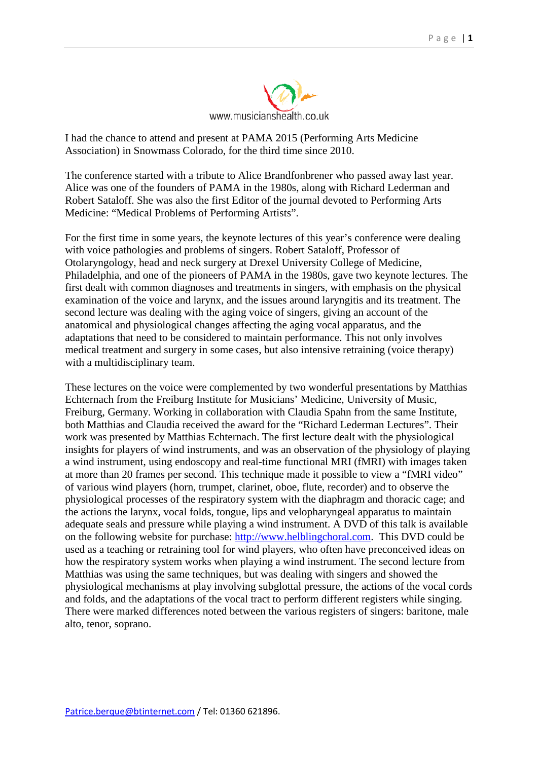

I had the chance to attend and present at PAMA 2015 (Performing Arts Medicine Association) in Snowmass Colorado, for the third time since 2010.

The conference started with a tribute to Alice Brandfonbrener who passed away last year. Alice was one of the founders of PAMA in the 1980s, along with Richard Lederman and Robert Sataloff. She was also the first Editor of the journal devoted to Performing Arts Medicine: "Medical Problems of Performing Artists".

For the first time in some years, the keynote lectures of this year's conference were dealing with voice pathologies and problems of singers. Robert Sataloff, Professor of Otolaryngology, head and neck surgery at Drexel University College of Medicine, Philadelphia, and one of the pioneers of PAMA in the 1980s, gave two keynote lectures. The first dealt with common diagnoses and treatments in singers, with emphasis on the physical examination of the voice and larynx, and the issues around laryngitis and its treatment. The second lecture was dealing with the aging voice of singers, giving an account of the anatomical and physiological changes affecting the aging vocal apparatus, and the adaptations that need to be considered to maintain performance. This not only involves medical treatment and surgery in some cases, but also intensive retraining (voice therapy) with a multidisciplinary team.

These lectures on the voice were complemented by two wonderful presentations by Matthias Echternach from the Freiburg Institute for Musicians' Medicine, University of Music, Freiburg, Germany. Working in collaboration with Claudia Spahn from the same Institute, both Matthias and Claudia received the award for the "Richard Lederman Lectures". Their work was presented by Matthias Echternach. The first lecture dealt with the physiological insights for players of wind instruments, and was an observation of the physiology of playing a wind instrument, using endoscopy and real-time functional MRI (fMRI) with images taken at more than 20 frames per second. This technique made it possible to view a "fMRI video" of various wind players (horn, trumpet, clarinet, oboe, flute, recorder) and to observe the physiological processes of the respiratory system with the diaphragm and thoracic cage; and the actions the larynx, vocal folds, tongue, lips and velopharyngeal apparatus to maintain adequate seals and pressure while playing a wind instrument. A DVD of this talk is available on the following website for purchase: [http://www.helblingchoral.com.](http://www.helblingchoral.com/) This DVD could be used as a teaching or retraining tool for wind players, who often have preconceived ideas on how the respiratory system works when playing a wind instrument. The second lecture from Matthias was using the same techniques, but was dealing with singers and showed the physiological mechanisms at play involving subglottal pressure, the actions of the vocal cords and folds, and the adaptations of the vocal tract to perform different registers while singing. There were marked differences noted between the various registers of singers: baritone, male alto, tenor, soprano.